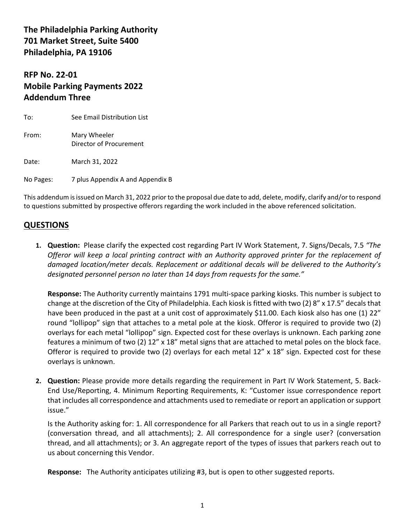**The Philadelphia Parking Authority 701 Market Street, Suite 5400 Philadelphia, PA 19106**

## **RFP No. 22-01 Mobile Parking Payments 2022 Addendum Three**

| To:       | See Email Distribution List             |
|-----------|-----------------------------------------|
| From:     | Mary Wheeler<br>Director of Procurement |
| Date:     | March 31, 2022                          |
| No Pages: | 7 plus Appendix A and Appendix B        |

This addendum is issued on March 31, 2022 prior to the proposal due date to add, delete, modify, clarify and/or to respond to questions submitted by prospective offerors regarding the work included in the above referenced solicitation.

## **QUESTIONS**

**1. Question:** Please clarify the expected cost regarding Part IV Work Statement, 7. Signs/Decals, 7.5 *"The Offeror will keep a local printing contract with an Authority approved printer for the replacement of damaged location/meter decals. Replacement or additional decals will be delivered to the Authority's designated personnel person no later than 14 days from requests for the same."*

**Response:** The Authority currently maintains 1791 multi-space parking kiosks. This number is subject to change at the discretion of the City of Philadelphia. Each kiosk is fitted with two (2) 8" x 17.5" decals that have been produced in the past at a unit cost of approximately \$11.00. Each kiosk also has one (1) 22" round "lollipop" sign that attaches to a metal pole at the kiosk. Offeror is required to provide two (2) overlays for each metal "lollipop" sign. Expected cost for these overlays is unknown. Each parking zone features a minimum of two (2) 12" x 18" metal signs that are attached to metal poles on the block face. Offeror is required to provide two (2) overlays for each metal 12" x 18" sign. Expected cost for these overlays is unknown.

**2. Question:** Please provide more details regarding the requirement in Part IV Work Statement, 5. Back-End Use/Reporting, 4. Minimum Reporting Requirements, K: "Customer issue correspondence report that includes all correspondence and attachments used to remediate or report an application or support issue."

Is the Authority asking for: 1. All correspondence for all Parkers that reach out to us in a single report? (conversation thread, and all attachments); 2. All correspondence for a single user? (conversation thread, and all attachments); or 3. An aggregate report of the types of issues that parkers reach out to us about concerning this Vendor.

**Response:** The Authority anticipates utilizing #3, but is open to other suggested reports.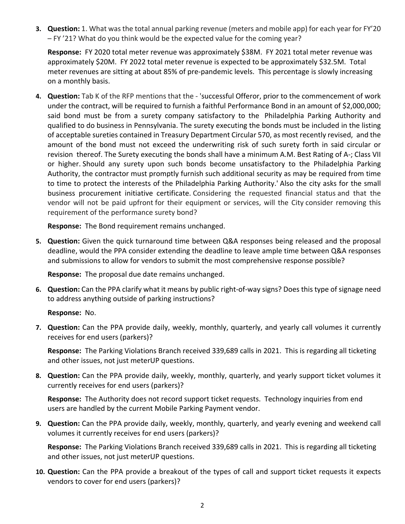**3. Question:** 1. What was the total annual parking revenue (meters and mobile app) for each year for FY'20 – FY '21? What do you think would be the expected value for the coming year?

**Response:** FY 2020 total meter revenue was approximately \$38M. FY 2021 total meter revenue was approximately \$20M. FY 2022 total meter revenue is expected to be approximately \$32.5M. Total meter revenues are sitting at about 85% of pre-pandemic levels. This percentage is slowly increasing on a monthly basis.

**4. Question:** Tab K of the RFP mentions that the - 'successful Offeror, prior to the commencement of work under the contract, will be required to furnish a faithful Performance Bond in an amount of \$2,000,000; said bond must be from a surety company satisfactory to the Philadelphia Parking Authority and qualified to do business in Pennsylvania. The surety executing the bonds must be included in the listing of acceptable sureties contained in Treasury Department Circular 570, as most recently revised, and the amount of the bond must not exceed the underwriting risk of such surety forth in said circular or revision thereof. The Surety executing the bonds shall have a minimum A.M. Best Rating of A-; Class VII or higher. Should any surety upon such bonds become unsatisfactory to the Philadelphia Parking Authority, the contractor must promptly furnish such additional security as may be required from time to time to protect the interests of the Philadelphia Parking Authority.' Also the city asks for the small business procurement initiative certificate. Considering the requested financial status and that the vendor will not be paid upfront for their equipment or services, will the City consider removing this requirement of the performance surety bond?

**Response:** The Bond requirement remains unchanged.

**5. Question:** Given the quick turnaround time between Q&A responses being released and the proposal deadline, would the PPA consider extending the deadline to leave ample time between Q&A responses and submissions to allow for vendors to submit the most comprehensive response possible?

**Response:** The proposal due date remains unchanged.

**6. Question:** Can the PPA clarify what it means by public right-of-way signs? Does this type of signage need to address anything outside of parking instructions?

**Response:** No.

**7. Question:** Can the PPA provide daily, weekly, monthly, quarterly, and yearly call volumes it currently receives for end users (parkers)?

**Response:** The Parking Violations Branch received 339,689 calls in 2021. This is regarding all ticketing and other issues, not just meterUP questions.

**8. Question:** Can the PPA provide daily, weekly, monthly, quarterly, and yearly support ticket volumes it currently receives for end users (parkers)?

**Response:** The Authority does not record support ticket requests. Technology inquiries from end users are handled by the current Mobile Parking Payment vendor.

**9. Question:** Can the PPA provide daily, weekly, monthly, quarterly, and yearly evening and weekend call volumes it currently receives for end users (parkers)?

**Response:** The Parking Violations Branch received 339,689 calls in 2021. This is regarding all ticketing and other issues, not just meterUP questions.

**10. Question:** Can the PPA provide a breakout of the types of call and support ticket requests it expects vendors to cover for end users (parkers)?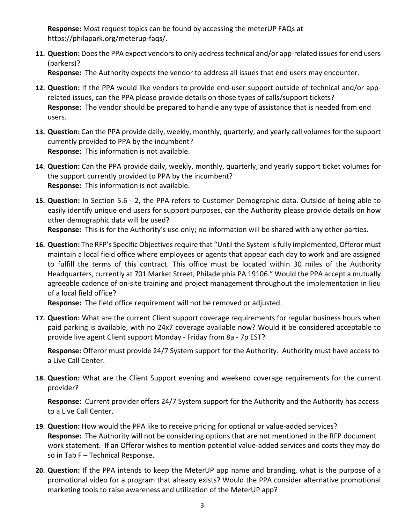**Response:** Most request topics can be found by accessing the meterUP FAQs at https://philapark.org/meterup-faqs/.

**11. Question:** Does the PPA expect vendors to only address technical and/or app-related issues for end users (parkers)?

**Response:** The Authority expects the vendor to address all issues that end users may encounter.

- **12. Question:** If the PPA would like vendors to provide end-user support outside of technical and/or apprelated issues, can the PPA please provide details on those types of calls/support tickets? **Response:** The vendor should be prepared to handle any type of assistance that is needed from end users.
- **13. Question:** Can the PPA provide daily, weekly, monthly, quarterly, and yearly call volumes for the support currently provided to PPA by the incumbent? **Response:** This information is not available.
- **14. Question:** Can the PPA provide daily, weekly, monthly, quarterly, and yearly support ticket volumes for the support currently provided to PPA by the incumbent? **Response:** This information is not available.
- **15. Question:** In Section 5.6 2, the PPA refers to Customer Demographic data. Outside of being able to easily identify unique end users for support purposes, can the Authority please provide details on how other demographic data will be used? **Response:** This is for the Authority's use only; no information will be shared with any other parties.
- **16. Question:** The RFP's Specific Objectives require that "Until the System is fully implemented, Offeror must maintain a local field office where employees or agents that appear each day to work and are assigned to fulfill the terms of this contract. This office must be located within 30 miles of the Authority Headquarters, currently at 701 Market Street, Philadelphia PA 19106." Would the PPA accept a mutually agreeable cadence of on-site training and project management throughout the implementation in lieu of a local field office?

**Response:** The field office requirement will not be removed or adjusted.

**17. Question:** What are the current Client support coverage requirements for regular business hours when paid parking is available, with no 24x7 coverage available now? Would it be considered acceptable to provide live agent Client support Monday - Friday from 8a - 7p EST?

**Response:** Offeror must provide 24/7 System support for the Authority. Authority must have access to a Live Call Center.

**18. Question:** What are the Client Support evening and weekend coverage requirements for the current provider?

**Response:** Current provider offers 24/7 System support for the Authority and the Authority has access to a Live Call Center.

- **19. Question:** How would the PPA like to receive pricing for optional or value-added services? **Response:** The Authority will not be considering options that are not mentioned in the RFP document work statement. If an Offeror wishes to mention potential value-added services and costs they may do so in Tab F – Technical Response.
- **20. Question:** If the PPA intends to keep the MeterUP app name and branding, what is the purpose of a promotional video for a program that already exists? Would the PPA consider alternative promotional marketing tools to raise awareness and utilization of the MeterUP app?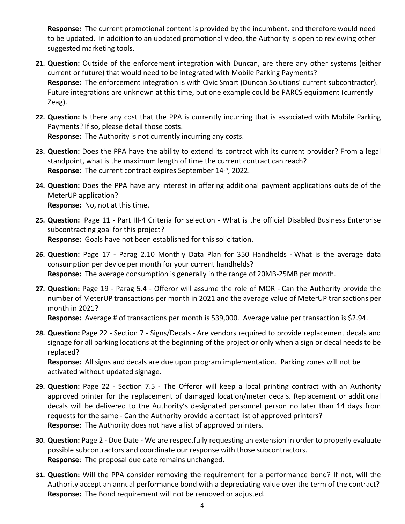**Response:** The current promotional content is provided by the incumbent, and therefore would need to be updated. In addition to an updated promotional video, the Authority is open to reviewing other suggested marketing tools.

- **21. Question:** Outside of the enforcement integration with Duncan, are there any other systems (either current or future) that would need to be integrated with Mobile Parking Payments? **Response:** The enforcement integration is with Civic Smart (Duncan Solutions' current subcontractor). Future integrations are unknown at this time, but one example could be PARCS equipment (currently Zeag).
- **22. Question:** Is there any cost that the PPA is currently incurring that is associated with Mobile Parking Payments? If so, please detail those costs. **Response:** The Authority is not currently incurring any costs.
- **23. Question:** Does the PPA have the ability to extend its contract with its current provider? From a legal standpoint, what is the maximum length of time the current contract can reach? Response: The current contract expires September 14<sup>th</sup>, 2022.
- **24. Question:** Does the PPA have any interest in offering additional payment applications outside of the MeterUP application? **Response:** No, not at this time.
- **25. Question:** Page 11 Part III-4 Criteria for selection What is the official Disabled Business Enterprise subcontracting goal for this project? **Response:** Goals have not been established for this solicitation.
- **26. Question:** Page 17 Parag 2.10 Monthly Data Plan for 350 Handhelds What is the average data consumption per device per month for your current handhelds? **Response:** The average consumption is generally in the range of 20MB-25MB per month.
- **27. Question:** Page 19 Parag 5.4 Offeror will assume the role of MOR Can the Authority provide the number of MeterUP transactions per month in 2021 and the average value of MeterUP transactions per month in 2021?

**Response:** Average # of transactions per month is 539,000. Average value per transaction is \$2.94.

**28. Question:** Page 22 - Section 7 - Signs/Decals - Are vendors required to provide replacement decals and signage for all parking locations at the beginning of the project or only when a sign or decal needs to be replaced?

**Response:** All signs and decals are due upon program implementation. Parking zones will not be activated without updated signage.

- **29. Question:** Page 22 Section 7.5 The Offeror will keep a local printing contract with an Authority approved printer for the replacement of damaged location/meter decals. Replacement or additional decals will be delivered to the Authority's designated personnel person no later than 14 days from requests for the same - Can the Authority provide a contact list of approved printers? **Response:** The Authority does not have a list of approved printers.
- **30. Question:** Page 2 Due Date We are respectfully requesting an extension in order to properly evaluate possible subcontractors and coordinate our response with those subcontractors. **Response**: The proposal due date remains unchanged.
- **31. Question:** Will the PPA consider removing the requirement for a performance bond? If not, will the Authority accept an annual performance bond with a depreciating value over the term of the contract? **Response:** The Bond requirement will not be removed or adjusted.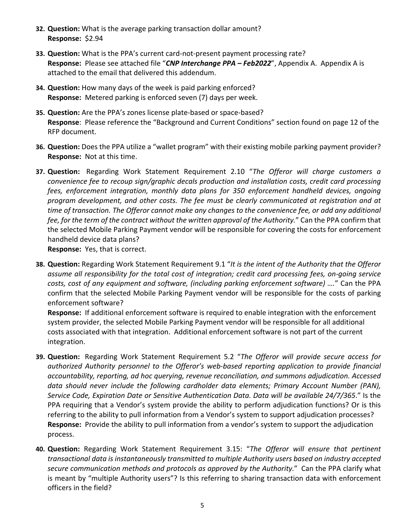- **32. Question:** What is the average parking transaction dollar amount? **Response:** \$2.94
- **33. Question:** What is the PPA's current card-not-present payment processing rate? **Response:** Please see attached file "*CNP Interchange PPA – Feb2022*", Appendix A. Appendix A is attached to the email that delivered this addendum.
- **34. Question:** How many days of the week is paid parking enforced? **Response:** Metered parking is enforced seven (7) days per week.
- **35. Question:** Are the PPA's zones license plate-based or space-based? **Response**: Please reference the "Background and Current Conditions" section found on page 12 of the RFP document.
- **36. Question:** Does the PPA utilize a "wallet program" with their existing mobile parking payment provider? **Response:** Not at this time.
- **37. Question:** Regarding Work Statement Requirement 2.10 "*The Offeror will charge customers a convenience fee to recoup sign/graphic decals production and installation costs, credit card processing fees, enforcement integration, monthly data plans for 350 enforcement handheld devices, ongoing program development, and other costs. The fee must be clearly communicated at registration and at time of transaction. The Offeror cannot make any changes to the convenience fee, or add any additional fee, for the term of the contract without the written approval of the Authority.*" Can the PPA confirm that the selected Mobile Parking Payment vendor will be responsible for covering the costs for enforcement handheld device data plans?

**Response:** Yes, that is correct.

**38. Question:** Regarding Work Statement Requirement 9.1 "*It is the intent of the Authority that the Offeror assume all responsibility for the total cost of integration; credit card processing fees, on-going service costs, cost of any equipment and software, (including parking enforcement software) ….*" Can the PPA confirm that the selected Mobile Parking Payment vendor will be responsible for the costs of parking enforcement software?

**Response:** If additional enforcement software is required to enable integration with the enforcement system provider, the selected Mobile Parking Payment vendor will be responsible for all additional costs associated with that integration. Additional enforcement software is not part of the current integration.

- **39. Question:** Regarding Work Statement Requirement 5.2 "*The Offeror will provide secure access for authorized Authority personnel to the Offeror's web-based reporting application to provide financial accountability, reporting, ad hoc querying, revenue reconciliation, and summons adjudication. Accessed data should never include the following cardholder data elements; Primary Account Number (PAN), Service Code, Expiration Date or Sensitive Authentication Data. Data will be available 24/7/365*." Is the PPA requiring that a Vendor's system provide the ability to perform adjudication functions? Or is this referring to the ability to pull information from a Vendor's system to support adjudication processes? **Response:** Provide the ability to pull information from a vendor's system to support the adjudication process.
- **40. Question:** Regarding Work Statement Requirement 3.15: "*The Offeror will ensure that pertinent transactional data is instantaneously transmitted to multiple Authority users based on industry accepted secure communication methods and protocols as approved by the Authority.*" Can the PPA clarify what is meant by "multiple Authority users"? Is this referring to sharing transaction data with enforcement officers in the field?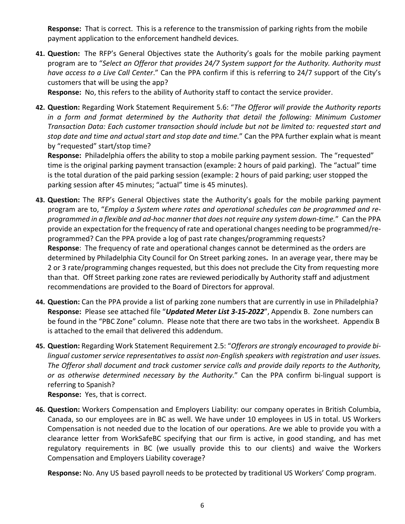**Response:** That is correct. This is a reference to the transmission of parking rights from the mobile payment application to the enforcement handheld devices.

**41. Question:** The RFP's General Objectives state the Authority's goals for the mobile parking payment program are to "*Select an Offeror that provides 24/7 System support for the Authority. Authority must have access to a Live Call Center*." Can the PPA confirm if this is referring to 24/7 support of the City's customers that will be using the app?

**Response:** No, this refers to the ability of Authority staff to contact the service provider.

**42. Question:** Regarding Work Statement Requirement 5.6: "*The Offeror will provide the Authority reports in a form and format determined by the Authority that detail the following: Minimum Customer Transaction Data: Each customer transaction should include but not be limited to: requested start and stop date and time and actual start and stop date and time.*" Can the PPA further explain what is meant by "requested" start/stop time?

**Response:** Philadelphia offers the ability to stop a mobile parking payment session. The "requested" time is the original parking payment transaction (example: 2 hours of paid parking). The "actual" time is the total duration of the paid parking session (example: 2 hours of paid parking; user stopped the parking session after 45 minutes; "actual" time is 45 minutes).

- **43. Question:** The RFP's General Objectives state the Authority's goals for the mobile parking payment program are to, "*Employ a System where rates and operational schedules can be programmed and reprogrammed in a flexible and ad-hoc manner that does not require any system down-time.*" Can the PPA provide an expectation for the frequency of rate and operational changes needing to be programmed/reprogrammed? Can the PPA provide a log of past rate changes/programming requests? **Response**: The frequency of rate and operational changes cannot be determined as the orders are determined by Philadelphia City Council for On Street parking zones**.** In an average year, there may be 2 or 3 rate/programming changes requested, but this does not preclude the City from requesting more than that. Off Street parking zone rates are reviewed periodically by Authority staff and adjustment recommendations are provided to the Board of Directors for approval.
- **44. Question:** Can the PPA provide a list of parking zone numbers that are currently in use in Philadelphia? **Response:** Please see attached file "*Updated Meter List 3-15-2022*", Appendix B. Zone numbers can be found in the "PBC Zone" column. Please note that there are two tabs in the worksheet. Appendix B is attached to the email that delivered this addendum.
- **45. Question:** Regarding Work Statement Requirement 2.5: "*Offerors are strongly encouraged to provide bilingual customer service representatives to assist non-English speakers with registration and user issues. The Offeror shall document and track customer service calls and provide daily reports to the Authority, or as otherwise determined necessary by the Authority.*" Can the PPA confirm bi-lingual support is referring to Spanish?

**Response:** Yes, that is correct.

**46. Question:** Workers Compensation and Employers Liability: our company operates in British Columbia, Canada, so our employees are in BC as well. We have under 10 employees in US in total. US Workers Compensation is not needed due to the location of our operations. Are we able to provide you with a clearance letter from WorkSafeBC specifying that our firm is active, in good standing, and has met regulatory requirements in BC (we usually provide this to our clients) and waive the Workers Compensation and Employers Liability coverage?

**Response:** No. Any US based payroll needs to be protected by traditional US Workers' Comp program.